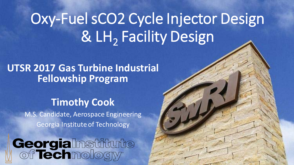## Oxy-Fuel sCO2 Cycle Injector Design & LH<sub>2</sub> Facility Design

#### **UTSR 2017 Gas Turbine Industrial Fellowship Program**

#### **Timothy Cook**

M.S. Candidate, Aerospace Engineering Georgia Institute of Technology

# Georgialnstitute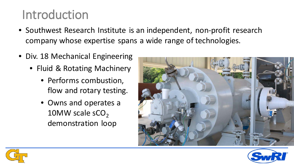#### Introduction

- Southwest Research Institute is an independent, non-profit research company whose expertise spans a wide range of technologies.
- Div. 18 Mechanical Engineering
	- Fluid & Rotating Machinery
		- Performs combustion, flow and rotary testing.
		- Owns and operates a 10MW scale  $sCO<sub>2</sub>$ demonstration loop





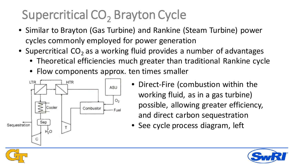## Supercritical CO<sub>2</sub> Brayton Cycle

- Similar to Brayton (Gas Turbine) and Rankine (Steam Turbine) power cycles commonly employed for power generation
- Supercritical  $CO<sub>2</sub>$  as a working fluid provides a number of advantages
	- Theoretical efficiencies much greater than traditional Rankine cycle
	- Flow components approx. ten times smaller



- Direct-Fire (combustion within the working fluid, as in a gas turbine) possible, allowing greater efficiency, and direct carbon sequestration
- See cycle process diagram, left



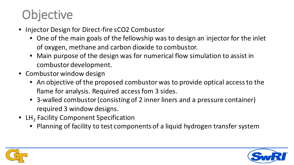### **Objective**

- Injector Design for Direct-fire sCO2 Combustor
	- One of the main goals of the fellowship was to design an injector for the inlet of oxygen, methane and carbon dioxide to combustor.
	- Main purpose of the design was for numerical flow simulation to assist in combustor development.
- Combustor window design
	- An objective of the proposed combustor was to provide optical access to the flame for analysis. Required access fom 3 sides.
	- 3-walled combustor (consisting of 2 inner liners and a pressure container) required 3 window designs.
- LH<sub>2</sub> Facility Component Specification
	- Planning of facility to test components of a liquid hydrogen transfer system



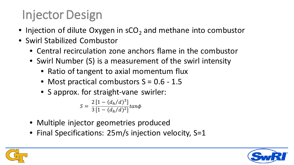## Injector Design

- Injection of dilute Oxygen in  $sCO<sub>2</sub>$  and methane into combustor
- Swirl Stabilized Combustor
	- Central recirculation zone anchors flame in the combustor
	- Swirl Number (S) is a measurement of the swirl intensity
		- Ratio of tangent to axial momentum flux
		- Most practical combustors  $S = 0.6 1.5$
		- S approx. for straight-vane swirler:

$$
S = \frac{2}{3} \frac{[1 - (d_h/d)^3]}{[1 - (d_h/d)^2]} \tan \phi
$$

- Multiple injector geometries produced
- Final Specifications: 25m/s injection velocity, S=1



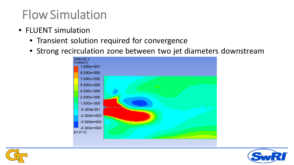#### Flow Simulation

- FLUENT simulation
	- Transient solution required for convergence
	- Strong recirculation zone between two jet diameters downstream





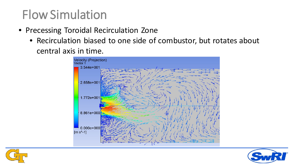#### Flow Simulation

- Precessing Toroidal Recirculation Zone
	- Recirculation biased to one side of combustor, but rotates about central axis in time.





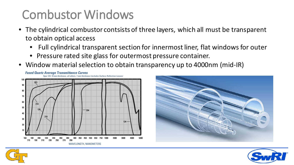#### Combustor Windows

- The cylindrical combustor contsists of three layers, which all must be transparent to obtain optical access
	- Full cylindrical transparent section for innermost liner, flat windows for outer
	- Pressure rated site glass for outermost pressure container.
- Window material selection to obtain transparency up to 4000nm (mid-IR)







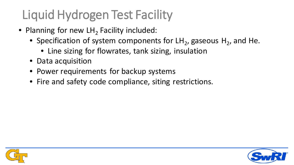## Liquid Hydrogen Test Facility

- Planning for new  $LH<sub>2</sub>$  Facility included:
	- Specification of system components for  $LH_2$ , gaseous  $H_2$ , and He.
		- Line sizing for flowrates, tank sizing, insulation
	- Data acquisition
	- Power requirements for backup systems
	- Fire and safety code compliance, siting restrictions.



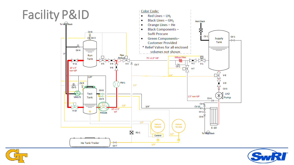